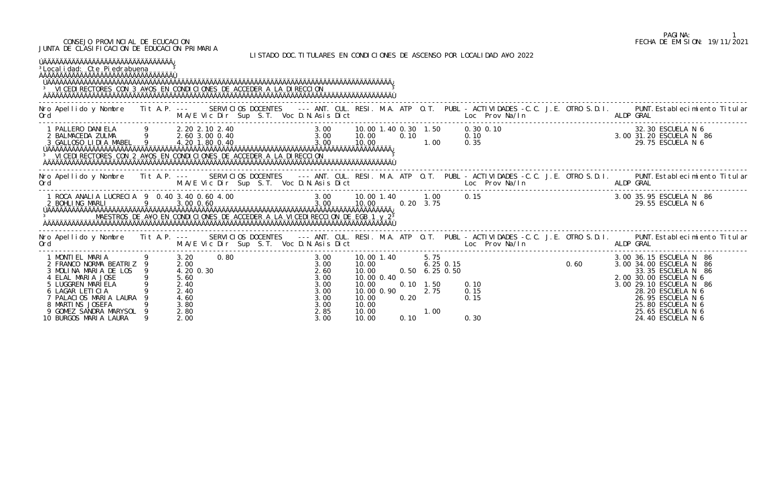## CONSEJO PROVINCIAL DE ECUCACION FECHA DE EMISION: 19/11/2021 JUNTA DE CLASIFICACION DE EDUCACION PRIMARIA

LISTADO DOC.TITULARES EN CONDICIONES DE ASCENSO POR LOCALIDAD A¥O 2022

| <sup>3</sup> Local i dad: Cte Pi edrabuena<br><sup>3</sup> VICEDIRECTORES CON 3 A¥OS EN CONDICIONES DE ACCEDER A LA DIRECCION                                                                                                        |                |                                                                           |  |                                                                      |                                                                                                            |              |                                                                                          | LIJIMDU DUGHITTULMINLJ LII GUNDIGIUNLJ DL MJOLNJU FUN LUGALIDMD MTU ZUZZ |           |                                                                                                                                                                                                                                        |
|--------------------------------------------------------------------------------------------------------------------------------------------------------------------------------------------------------------------------------------|----------------|---------------------------------------------------------------------------|--|----------------------------------------------------------------------|------------------------------------------------------------------------------------------------------------|--------------|------------------------------------------------------------------------------------------|--------------------------------------------------------------------------|-----------|----------------------------------------------------------------------------------------------------------------------------------------------------------------------------------------------------------------------------------------|
| Ord<br>$\mathcal{L}(\mathcal{L})$ and $\mathcal{L}(\mathcal{L})$ and $\mathcal{L}(\mathcal{L})$ and $\mathcal{L}(\mathcal{L})$ and $\mathcal{L}(\mathcal{L})$                                                                        |                |                                                                           |  |                                                                      |                                                                                                            |              |                                                                                          |                                                                          |           | Nro Apellido y Nombre Tit A.P. --- SERVICIOS DOCENTES --- ANT. CUL. RESI. M.A. ATP O.T. PUBL - ACTIVIDADES -C.C. J.E. OTRO S.D.I. PUNT. Establecimiento Titular                                                                        |
| <sup>3</sup> VI CEDI RECTORES CON 2 A¥OS EN CONDI CI ONES DE ACCEDER A LA DI RECCI ON                                                                                                                                                |                |                                                                           |  |                                                                      |                                                                                                            |              |                                                                                          |                                                                          |           |                                                                                                                                                                                                                                        |
| Ord                                                                                                                                                                                                                                  |                |                                                                           |  |                                                                      |                                                                                                            |              |                                                                                          | M.A/E Vic Dir Sup S.T. Voc D.N.Asis Dict Loc Prov Na/In ALDP GRAL        |           | Nro Apellido y Nombre Tit A.P. --- SERVICIOS DOCENTES --- ANT. CUL. RESI. M.A. ATP O.T. PUBL - ACTIVIDADES -C.C. J.E. OTRO S.D.I. PUNT.Establecimiento Titular                                                                         |
| 1 ROCA ANALIA LUCRECIA 9 0.40 3.40 0.60 4.00<br>2 BOHLING MARLI 9 3.00 0.60<br>2 BOHLING MARLI<br>MAESTROS DE A¥O EN CONDICIONES DE ACCEDER A LA VICEDIRECCION DE EGB 1 y 2 <sup>3</sup>                                             | $\overline{9}$ | 3.00 0.60                                                                 |  | 3.00                                                                 | 10.00                                                                                                      |              | $0.20 \quad 3.75$                                                                        | 0.15 3.00 35.95 ESCUELA N 86<br>29.55 ESCUELA N 6                        |           |                                                                                                                                                                                                                                        |
| Ord                                                                                                                                                                                                                                  |                |                                                                           |  |                                                                      |                                                                                                            |              |                                                                                          |                                                                          | ALDP GRAL | Nro Apellido y Nombre Tit A.P. --- SERVICIOS DOCENTES --- ANT. CUL. RESI. M.A. ATP O.T. PUBL - ACTIVIDADES -C.C. J.E. OTRO S.D.I. PUNT.Establecimiento Titular                                                                         |
| 1 MONTIEL MARIA<br>2 FRANCO NORMA BEATRIZ 9<br>3 MOLINA MARIA DE LOS 9<br>4 ELAL MARIA JOSE<br>5 LUGGREN MARIELA<br>6 LAGAR LETICIA<br>7 PALACIOS MARIA LAURA<br>8 MARTINS JOSEFA<br>9 GOMEZ SANDRA MARYSOL<br>10 BURGOS MARIA LAURA | 9 3.20 0.80    | 2.00<br>4.20 0.30<br>5.60<br>2.40<br>2.40<br>4.60<br>3.80<br>2.80<br>2.00 |  | 3.00<br>2.60<br>3.00<br>3.00<br>3.00<br>3.00<br>3.00<br>2.85<br>3.00 | 3.00 10.00 1.40<br>10.00<br>10.00<br>10.00 0.40<br>10.00<br>10.00 0.90<br>10.00<br>10.00<br>10.00<br>10.00 | 0.20<br>0.10 | 5.75<br>$6.25$ 0.15<br>$0.50 \quad 6.25 \quad 0.50$<br>$0.10 \quad 1.50$<br>2.75<br>1.00 | 0. 15<br>0. 50<br>0.10<br>0.15<br>0.15<br>0.30                           |           | 3.00 36.15 ESCUELA N 86<br>3.00 34.00 ESCUELA N 86<br>33.35 ESCUELA N 86<br>2.00 30.00 ESCUELA N 6<br>3.00 29.10 ESCUELA N 86<br>28.20 ESCUELA N 6<br>26.95 ESCUELA N 6<br>25.80 ESCUELA N 6<br>25.65 ESCUELA N 6<br>24.40 ESCUELA N 6 |

# PAGINA: 1<br>FECHA DE EMISION: 19/11/2021